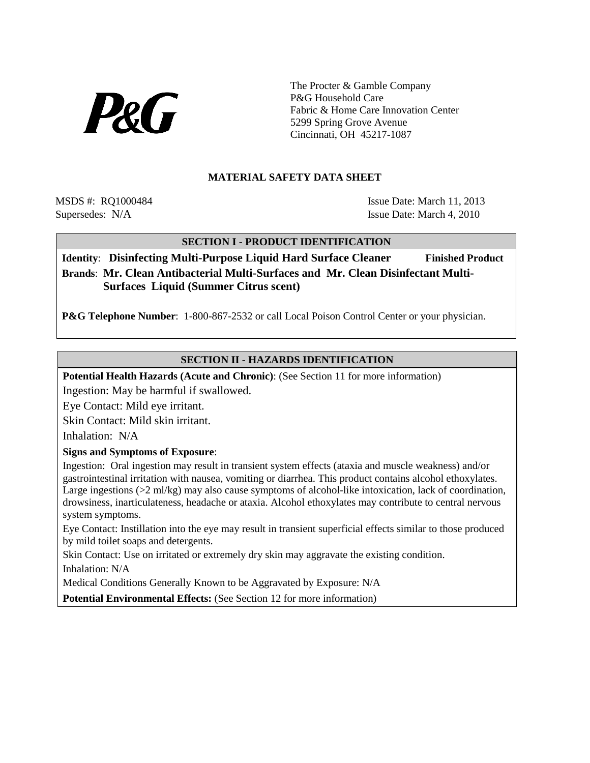

The Procter & Gamble Company P&G Household Care Fabric & Home Care Innovation Center 5299 Spring Grove Avenue Cincinnati, OH 45217-1087

#### **MATERIAL SAFETY DATA SHEET**

MSDS #: RO1000484 Issue Date: March 11, 2013 Supersedes: N/A Issue Date: March 4, 2010

# **SECTION I - PRODUCT IDENTIFICATION**

**Identity:** Disinfecting Multi-Purpose Liquid Hard Surface Cleaner Finished Product **Brands**: **Mr. Clean Antibacterial Multi-Surfaces and Mr. Clean Disinfectant Multi-Surfaces Liquid (Summer Citrus scent)**

**P&G Telephone Number**: 1-800-867-2532 or call Local Poison Control Center or your physician.

# **SECTION II - HAZARDS IDENTIFICATION**

**Potential Health Hazards (Acute and Chronic)**: (See Section 11 for more information)

Ingestion: May be harmful if swallowed.

Eye Contact: Mild eye irritant.

Skin Contact: Mild skin irritant.

Inhalation: N/A

#### **Signs and Symptoms of Exposure**:

Ingestion: Oral ingestion may result in transient system effects (ataxia and muscle weakness) and/or gastrointestinal irritation with nausea, vomiting or diarrhea. This product contains alcohol ethoxylates. Large ingestions  $(22 \text{ ml/kg})$  may also cause symptoms of alcohol-like intoxication, lack of coordination, drowsiness, inarticulateness, headache or ataxia. Alcohol ethoxylates may contribute to central nervous system symptoms.

Eye Contact: Instillation into the eye may result in transient superficial effects similar to those produced by mild toilet soaps and detergents.

Skin Contact: Use on irritated or extremely dry skin may aggravate the existing condition.

Inhalation: N/A

Medical Conditions Generally Known to be Aggravated by Exposure: N/A

**Potential Environmental Effects:** (See Section 12 for more information)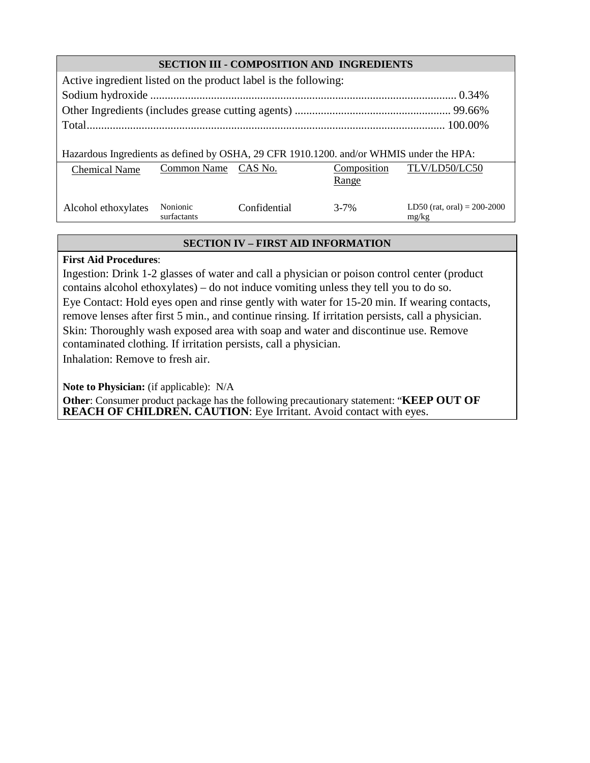| <b>SECTION III - COMPOSITION AND INGREDIENTS</b>                                        |                         |              |                      |                                        |  |  |  |  |  |  |  |
|-----------------------------------------------------------------------------------------|-------------------------|--------------|----------------------|----------------------------------------|--|--|--|--|--|--|--|
| Active ingredient listed on the product label is the following:                         |                         |              |                      |                                        |  |  |  |  |  |  |  |
|                                                                                         |                         |              |                      |                                        |  |  |  |  |  |  |  |
|                                                                                         |                         |              |                      |                                        |  |  |  |  |  |  |  |
|                                                                                         |                         |              |                      |                                        |  |  |  |  |  |  |  |
| Hazardous Ingredients as defined by OSHA, 29 CFR 1910.1200. and/or WHMIS under the HPA: |                         |              |                      |                                        |  |  |  |  |  |  |  |
| <b>Chemical Name</b>                                                                    | Common Name CAS No.     |              | Composition<br>Range | TLV/LD50/LC50                          |  |  |  |  |  |  |  |
| Alcohol ethoxylates                                                                     | Nonionic<br>surfactants | Confidential | $3 - 7%$             | LD50 (rat, oral) = $200-2000$<br>mg/kg |  |  |  |  |  |  |  |

# **SECTION IV – FIRST AID INFORMATION**

# **First Aid Procedures**:

Ingestion: Drink 1-2 glasses of water and call a physician or poison control center (product contains alcohol ethoxylates) – do not induce vomiting unless they tell you to do so.

Eye Contact: Hold eyes open and rinse gently with water for 15-20 min. If wearing contacts, remove lenses after first 5 min., and continue rinsing. If irritation persists, call a physician. Skin: Thoroughly wash exposed area with soap and water and discontinue use. Remove contaminated clothing. If irritation persists, call a physician.

Inhalation: Remove to fresh air.

**Note to Physician:** (if applicable): N/A

**Other**: Consumer product package has the following precautionary statement: "**KEEP OUT OF REACH OF CHILDREN. CAUTION**: Eye Irritant. Avoid contact with eyes.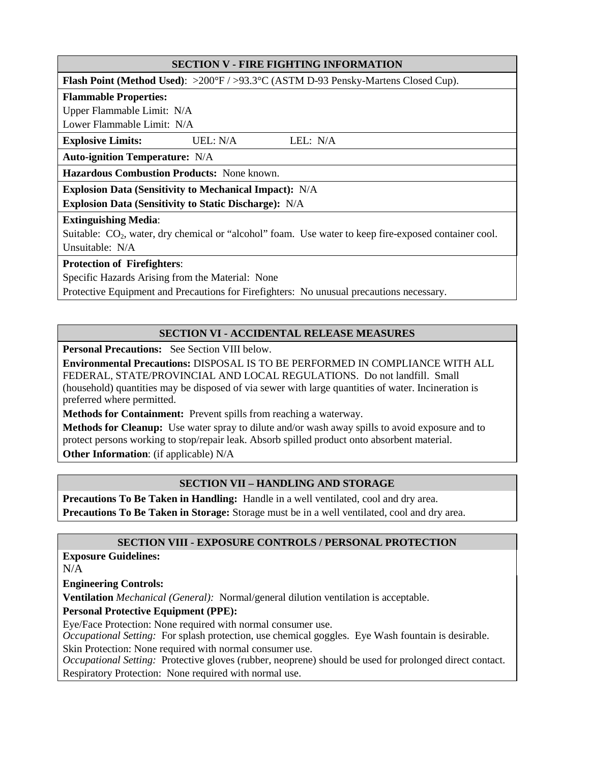# **SECTION V - FIRE FIGHTING INFORMATION**

**Flash Point (Method Used)**: >200°F / >93.3°C (ASTM D-93 Pensky-Martens Closed Cup).

#### **Flammable Properties:**

Upper Flammable Limit: N/A

Lower Flammable Limit: N/A

**Explosive Limits:** UEL: N/A LEL: N/A

**Auto-ignition Temperature:** N/A

**Hazardous Combustion Products:** None known.

**Explosion Data (Sensitivity to Mechanical Impact):** N/A

**Explosion Data (Sensitivity to Static Discharge):** N/A

#### **Extinguishing Media**:

Suitable: CO<sub>2</sub>, water, dry chemical or "alcohol" foam. Use water to keep fire-exposed container cool. Unsuitable: N/A

#### **Protection of Firefighters**:

Specific Hazards Arising from the Material: None

Protective Equipment and Precautions for Firefighters: No unusual precautions necessary.

# **SECTION VI - ACCIDENTAL RELEASE MEASURES**

**Personal Precautions:** See Section VIII below.

**Environmental Precautions:** DISPOSAL IS TO BE PERFORMED IN COMPLIANCE WITH ALL FEDERAL, STATE/PROVINCIAL AND LOCAL REGULATIONS. Do not landfill. Small (household) quantities may be disposed of via sewer with large quantities of water. Incineration is preferred where permitted.

**Methods for Containment:** Prevent spills from reaching a waterway.

**Methods for Cleanup:** Use water spray to dilute and/or wash away spills to avoid exposure and to protect persons working to stop/repair leak. Absorb spilled product onto absorbent material. **Other Information**: (if applicable) N/A

# **SECTION VII – HANDLING AND STORAGE**

**Precautions To Be Taken in Handling:** Handle in a well ventilated, cool and dry area. **Precautions To Be Taken in Storage:** Storage must be in a well ventilated, cool and dry area.

# **SECTION VIII - EXPOSURE CONTROLS / PERSONAL PROTECTION**

**Exposure Guidelines:** 

N/A

**Engineering Controls:**

**Ventilation** *Mechanical (General):* Normal/general dilution ventilation is acceptable.

# **Personal Protective Equipment (PPE):**

Eye/Face Protection: None required with normal consumer use.

*Occupational Setting:* For splash protection, use chemical goggles. Eye Wash fountain is desirable.

Skin Protection: None required with normal consumer use.

*Occupational Setting:* Protective gloves (rubber, neoprene) should be used for prolonged direct contact. Respiratory Protection: None required with normal use.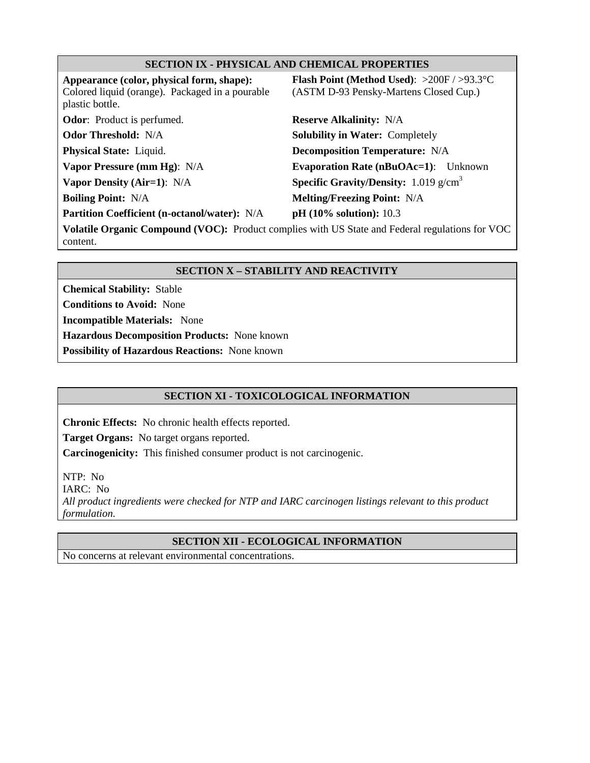#### **SECTION IX - PHYSICAL AND CHEMICAL PROPERTIES**

**Appearance (color, physical form, shape):**  Colored liquid (orange). Packaged in a pourable plastic bottle.

**Odor**: Product is perfumed. **Reserve Alkalinity:** N/A

**Partition Coefficient (n-octanol/water):** N/A pH (10% solution): 10.3

**Flash Point (Method Used)**: >200F / >93.3°C (ASTM D-93 Pensky-Martens Closed Cup.)

**Odor Threshold:** N/A **Solubility in Water:** Completely **Physical State:** Liquid. **Decomposition Temperature:** N/A **Vapor Pressure (mm Hg)**: N/A **Evaporation Rate (nBuOAc=1)**: Unknown **Vapor Density (Air=1):** N/A **Specific Gravity/Density:** 1.019 g/cm<sup>3</sup> **Boiling Point:**  $N/A$  **Melting/Freezing Point:**  $N/A$ 

**Volatile Organic Compound (VOC):** Product complies with US State and Federal regulations for VOC content.

# **SECTION X – STABILITY AND REACTIVITY**

**Chemical Stability:** Stable

**Conditions to Avoid:** None

**Incompatible Materials:** None

**Hazardous Decomposition Products:** None known

**Possibility of Hazardous Reactions:** None known

# **SECTION XI - TOXICOLOGICAL INFORMATION**

**Chronic Effects:** No chronic health effects reported.

**Target Organs:** No target organs reported.

**Carcinogenicity:** This finished consumer product is not carcinogenic.

NTP: No

IARC: No

*All product ingredients were checked for NTP and IARC carcinogen listings relevant to this product formulation.*

# **SECTION XII - ECOLOGICAL INFORMATION**

No concerns at relevant environmental concentrations.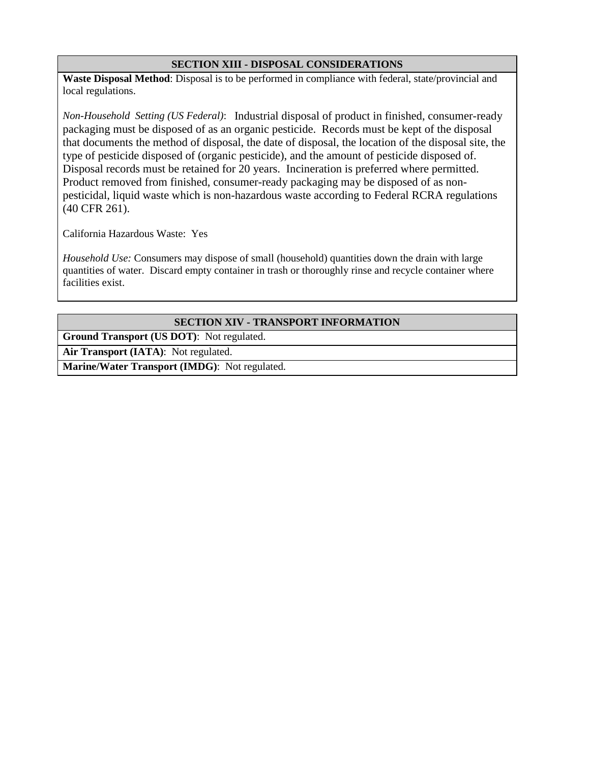#### **SECTION XIII - DISPOSAL CONSIDERATIONS**

**Waste Disposal Method**: Disposal is to be performed in compliance with federal, state/provincial and local regulations.

*Non-Household Setting (US Federal)*: Industrial disposal of product in finished, consumer-ready packaging must be disposed of as an organic pesticide. Records must be kept of the disposal that documents the method of disposal, the date of disposal, the location of the disposal site, the type of pesticide disposed of (organic pesticide), and the amount of pesticide disposed of. Disposal records must be retained for 20 years. Incineration is preferred where permitted. Product removed from finished, consumer-ready packaging may be disposed of as nonpesticidal, liquid waste which is non-hazardous waste according to Federal RCRA regulations (40 CFR 261).

California Hazardous Waste: Yes

*Household Use:* Consumers may dispose of small (household) quantities down the drain with large quantities of water. Discard empty container in trash or thoroughly rinse and recycle container where facilities exist.

#### **SECTION XIV - TRANSPORT INFORMATION**

**Ground Transport (US DOT)**: Not regulated.

**Air Transport (IATA)**: Not regulated.

**Marine/Water Transport (IMDG)**: Not regulated.